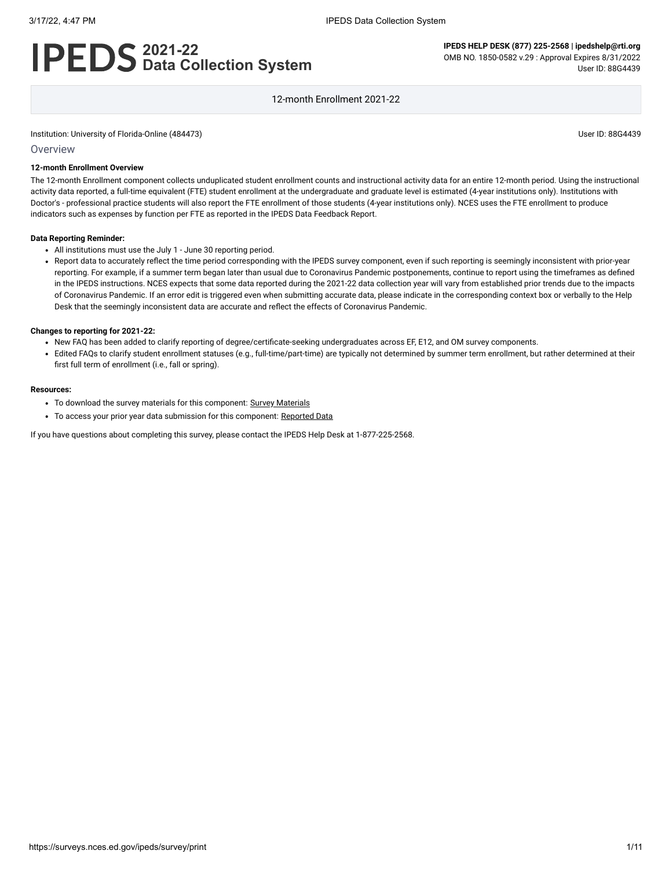# **2021-22 Data Collection System**

**IPEDS HELP DESK (877) 225-2568 | ipedshelp@rti.org** OMB NO. 1850-0582 v.29 : Approval Expires 8/31/2022 User ID: 88G4439

12-month Enrollment 2021-22

Institution: University of Florida-Online (484473) User ID: 88G4439

#### **Overview**

#### **12-month Enrollment Overview**

The 12-month Enrollment component collects unduplicated student enrollment counts and instructional activity data for an entire 12-month period. Using the instructional activity data reported, a full-time equivalent (FTE) student enrollment at the undergraduate and graduate level is estimated (4-year institutions only). Institutions with Doctor's - professional practice students will also report the FTE enrollment of those students (4-year institutions only). NCES uses the FTE enrollment to produce indicators such as expenses by function per FTE as reported in the IPEDS Data Feedback Report.

#### **Data Reporting Reminder:**

- All institutions must use the July 1 June 30 reporting period.
- Report data to accurately reflect the time period corresponding with the IPEDS survey component, even if such reporting is seemingly inconsistent with prior-year reporting. For example, if a summer term began later than usual due to Coronavirus Pandemic postponements, continue to report using the timeframes as defined in the IPEDS instructions. NCES expects that some data reported during the 2021-22 data collection year will vary from established prior trends due to the impacts of Coronavirus Pandemic. If an error edit is triggered even when submitting accurate data, please indicate in the corresponding context box or verbally to the Help Desk that the seemingly inconsistent data are accurate and reflect the effects of Coronavirus Pandemic.

#### **Changes to reporting for 2021-22:**

- New FAQ has been added to clarify reporting of degree/certificate-seeking undergraduates across EF, E12, and OM survey components.
- Edited FAQs to clarify student enrollment statuses (e.g., full-time/part-time) are typically not determined by summer term enrollment, but rather determined at their first full term of enrollment (i.e., fall or spring).

#### **Resources:**

- To download the survey materials for this component: Survey [Materials](https://surveys.nces.ed.gov/ipeds/public/survey-materials/index)
- To access your prior year data submission for this component: [Reported Data](javascript:openReportedData(484473, 9))

If you have questions about completing this survey, please contact the IPEDS Help Desk at 1-877-225-2568.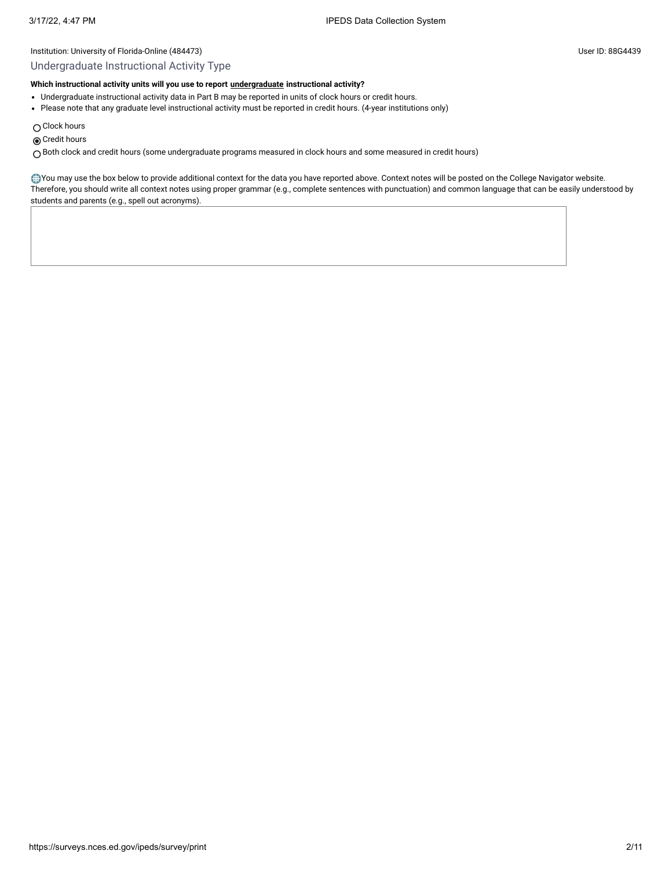#### Undergraduate Instructional Activity Type

#### **Which instructional activity units will you use to report [undergraduate](javascript:openglossary(677)) instructional activity?**

- Undergraduate instructional activity data in Part B may be reported in units of clock hours or credit hours.
- Please note that any graduate level instructional activity must be reported in credit hours. (4-year institutions only)
- $\bigcirc$  Clock hours
- **◎** Credit hours

Both clock and credit hours (some undergraduate programs measured in clock hours and some measured in credit hours)

You may use the box below to provide additional context for the data you have reported above. Context notes will be posted on the College Navigator website. Therefore, you should write all context notes using proper grammar (e.g., complete sentences with punctuation) and common language that can be easily understood by students and parents (e.g., spell out acronyms).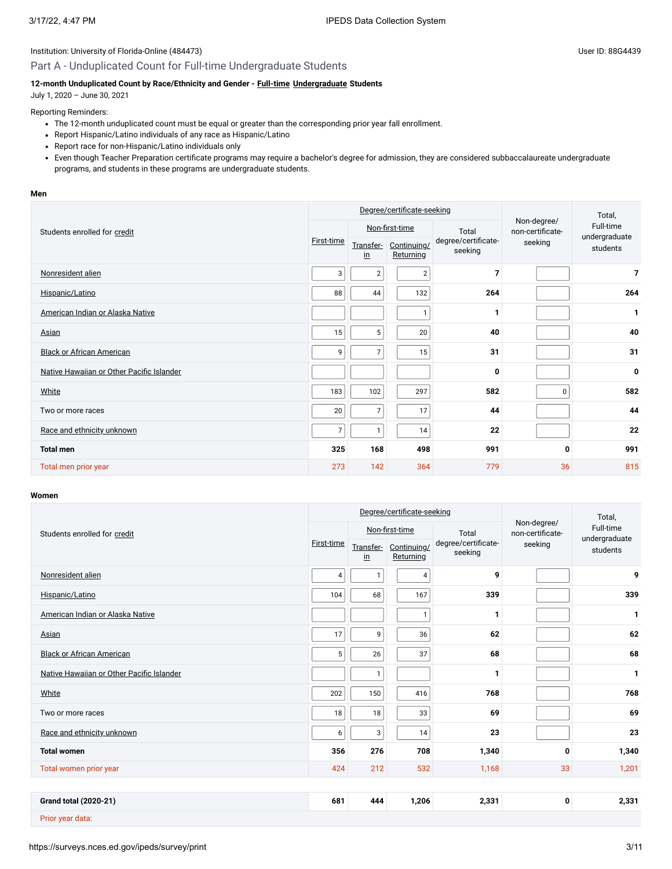# Part A - Unduplicated Count for Full-time Undergraduate Students

# **12-month Unduplicated Count by Race/Ethnicity and Gender - [Full-time](javascript:openglossary(259)) [Undergraduate](javascript:openglossary(677)) Students**

July 1, 2020 – June 30, 2021

## Reporting Reminders:

- The 12-month unduplicated count must be equal or greater than the corresponding prior year fall enrollment.
- Report Hispanic/Latino individuals of any race as Hispanic/Latino
- Report race for non-Hispanic/Latino individuals only
- Even though Teacher Preparation certificate programs may require a bachelor's degree for admission, they are considered subbaccalaureate undergraduate programs, and students in these programs are undergraduate students.

#### **Men**

|                                           |                |                        | Degree/certificate-seeking |                                | Total,                          |                            |
|-------------------------------------------|----------------|------------------------|----------------------------|--------------------------------|---------------------------------|----------------------------|
| Students enrolled for credit              |                |                        | Non-first-time             | Total                          | Non-degree/<br>non-certificate- | Full-time<br>undergraduate |
|                                           | First-time     | Transfer-<br><u>in</u> | Continuing/<br>Returning   | degree/certificate-<br>seeking | seeking                         | students                   |
| Nonresident alien                         | 3              | $\sqrt{2}$             | $\overline{2}$             | $\overline{7}$                 |                                 | $\overline{7}$             |
| Hispanic/Latino                           | 88             | 44                     | 132                        | 264                            |                                 | 264                        |
| American Indian or Alaska Native          |                |                        | 1                          | 1                              |                                 | 1                          |
| Asian                                     | 15             | 5                      | 20                         | 40                             |                                 | 40                         |
| <b>Black or African American</b>          | 9              | $\overline{7}$         | 15                         | 31                             |                                 | 31                         |
| Native Hawaiian or Other Pacific Islander |                |                        |                            | $\mathbf{0}$                   |                                 | $\mathbf 0$                |
| White                                     | 183            | 102                    | 297                        | 582                            | 0                               | 582                        |
| Two or more races                         | 20             | $\overline{7}$         | 17                         | 44                             |                                 | 44                         |
| Race and ethnicity unknown                | $\overline{7}$ | 1                      | 14                         | 22                             |                                 | 22                         |
| <b>Total men</b>                          | 325            | 168                    | 498                        | 991                            | 0                               | 991                        |
| Total men prior year                      | 273            | 142                    | 364                        | 779                            | 36                              | 815                        |

#### **Women**

|                                           |            |                            | Degree/certificate-seeking |                                | Total,                          |                           |
|-------------------------------------------|------------|----------------------------|----------------------------|--------------------------------|---------------------------------|---------------------------|
| Students enrolled for credit              |            |                            | Non-first-time             | Total                          | Non-degree/<br>non-certificate- | Full-time                 |
|                                           | First-time | Transfer-<br>$\mathsf{in}$ | Continuing/<br>Returning   | degree/certificate-<br>seeking | seeking                         | undergraduate<br>students |
| Nonresident alien                         | 4          | $\mathbf{1}$               | 4                          | 9                              |                                 | 9                         |
| Hispanic/Latino                           | 104        | 68                         | 167                        | 339                            |                                 | 339                       |
| American Indian or Alaska Native          |            |                            | $\mathbf{1}$               | 1                              |                                 | 1                         |
| Asian                                     | 17         | 9                          | 36                         | 62                             |                                 | 62                        |
| <b>Black or African American</b>          | 5          | 26                         | 37                         | 68                             |                                 | 68                        |
| Native Hawaiian or Other Pacific Islander |            | $\mathbf{1}$               |                            | 1                              |                                 | $\mathbf{1}$              |
| White                                     | 202        | 150                        | 416                        | 768                            |                                 | 768                       |
| Two or more races                         | 18         | 18                         | 33                         | 69                             |                                 | 69                        |
| Race and ethnicity unknown                | 6          | 3                          | 14                         | 23                             |                                 | 23                        |
| <b>Total women</b>                        | 356        | 276                        | 708                        | 1,340                          | 0                               | 1,340                     |
| Total women prior year                    | 424        | 212                        | 532                        | 1,168                          | 33                              | 1,201                     |
|                                           |            |                            |                            |                                |                                 |                           |
| <b>Grand total (2020-21)</b>              | 681        | 444                        | 1,206                      | 2,331                          | 0                               | 2,331                     |
| Prior year data:                          |            |                            |                            |                                |                                 |                           |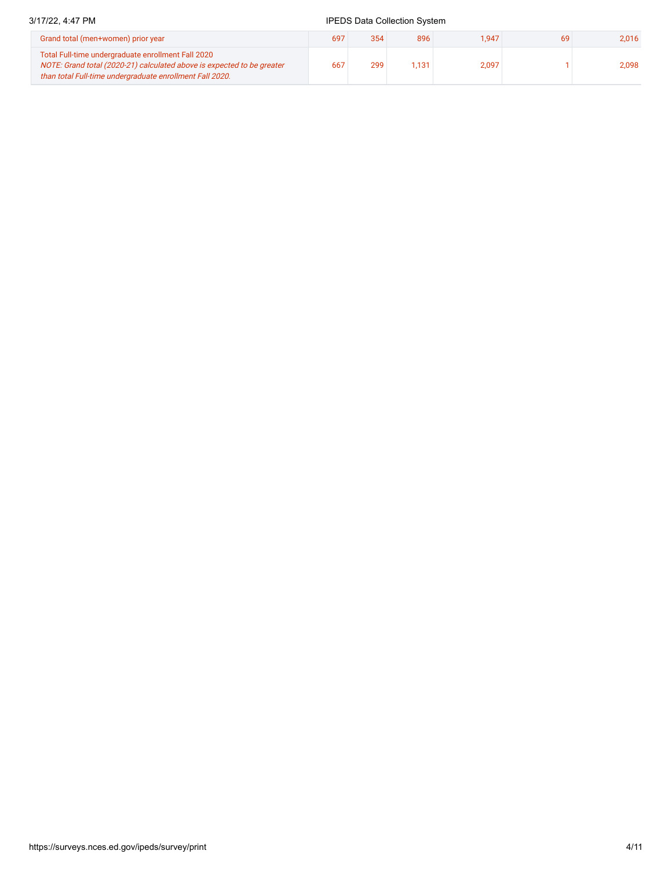# 3/17/22, 4:47 PM **IPEDS** Data Collection System Grand total (men+women) prior year 697 354 896 1,947 69 2,016

| Grand total (inchestration) prior year                                                                                                                                                   | <b>097</b> | 904 | oyu   | . 947 | ບສ | 2.U I U I |
|------------------------------------------------------------------------------------------------------------------------------------------------------------------------------------------|------------|-----|-------|-------|----|-----------|
| Total Full-time undergraduate enrollment Fall 2020<br>NOTE: Grand total (2020-21) calculated above is expected to be greater<br>than total Full-time undergraduate enrollment Fall 2020. | 667        | 299 | 1.131 | 2.097 |    | 2.098     |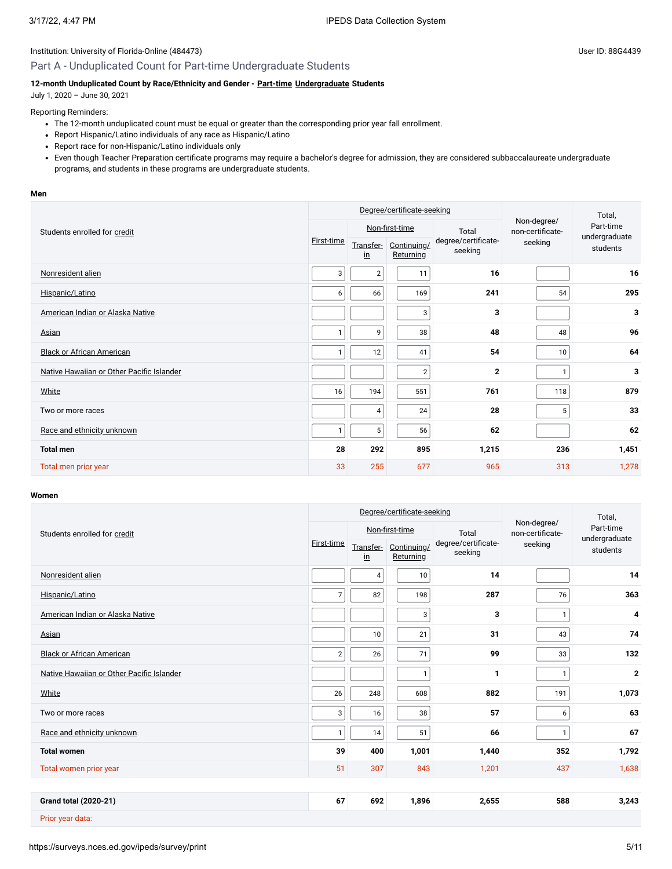#### Part A - Unduplicated Count for Part-time Undergraduate Students

#### **12-month Unduplicated Count by Race/Ethnicity and Gender - [Part-time](javascript:openglossary(469)) [Undergraduate](javascript:openglossary(677)) Students**

July 1, 2020 – June 30, 2021

#### Reporting Reminders:

- The 12-month unduplicated count must be equal or greater than the corresponding prior year fall enrollment.
- Report Hispanic/Latino individuals of any race as Hispanic/Latino
- Report race for non-Hispanic/Latino individuals only
- Even though Teacher Preparation certificate programs may require a bachelor's degree for admission, they are considered subbaccalaureate undergraduate programs, and students in these programs are undergraduate students.

#### **Men**

|                                           |            |                        | Degree/certificate-seeking |                                | Total,                          |                            |
|-------------------------------------------|------------|------------------------|----------------------------|--------------------------------|---------------------------------|----------------------------|
| Students enrolled for credit              |            |                        | Non-first-time             | Total                          | Non-degree/<br>non-certificate- | Part-time<br>undergraduate |
|                                           | First-time | Transfer-<br><u>in</u> | Continuing/<br>Returning   | degree/certificate-<br>seeking | seeking                         | students                   |
| Nonresident alien                         | 3          | $\overline{c}$         | 11                         | 16                             |                                 | 16                         |
| Hispanic/Latino                           | 6          | 66                     | 169                        | 241                            | 54                              | 295                        |
| American Indian or Alaska Native          |            |                        | 3                          | 3                              |                                 | 3                          |
| Asian                                     |            | 9                      | 38                         | 48                             | 48                              | 96                         |
| <b>Black or African American</b>          | 1          | 12                     | 41                         | 54                             | 10                              | 64                         |
| Native Hawaiian or Other Pacific Islander |            |                        | $\overline{\mathbf{c}}$    | $\mathbf{2}$                   | $\mathbf{1}$                    | 3                          |
| White                                     | 16         | 194                    | 551                        | 761                            | 118                             | 879                        |
| Two or more races                         |            | 4                      | 24                         | 28                             | 5                               | 33                         |
| Race and ethnicity unknown                |            | 5                      | 56                         | 62                             |                                 | 62                         |
| <b>Total men</b>                          | 28         | 292                    | 895                        | 1,215                          | 236                             | 1,451                      |
| Total men prior year                      | 33         | 255                    | 677                        | 965                            | 313                             | 1,278                      |

#### **Women**

|                                           | Degree/certificate-seeking |                            |                          |                                |                                 | Total,                    |  |
|-------------------------------------------|----------------------------|----------------------------|--------------------------|--------------------------------|---------------------------------|---------------------------|--|
| Students enrolled for credit              |                            |                            | Non-first-time           | Total                          | Non-degree/<br>non-certificate- | Part-time                 |  |
|                                           | First-time                 | Transfer-<br>$\mathsf{in}$ | Continuing/<br>Returning | degree/certificate-<br>seeking | seeking                         | undergraduate<br>students |  |
| Nonresident alien                         |                            | 4                          | 10                       | 14                             |                                 | 14                        |  |
| Hispanic/Latino                           | $\overline{7}$             | 82                         | 198                      | 287                            | 76                              | 363                       |  |
| American Indian or Alaska Native          |                            |                            | 3                        | 3                              | $\mathbf{1}$                    | 4                         |  |
| <b>Asian</b>                              |                            | 10                         | 21                       | 31                             | 43                              | 74                        |  |
| <b>Black or African American</b>          | $\overline{2}$             | 26                         | 71                       | 99                             | 33                              | 132                       |  |
| Native Hawaiian or Other Pacific Islander |                            |                            | $\mathbf{1}$             | $\mathbf{1}$                   | $\mathbf{1}$                    | $\mathbf 2$               |  |
| White                                     | 26                         | 248                        | 608                      | 882                            | 191                             | 1,073                     |  |
| Two or more races                         | 3                          | 16                         | 38                       | 57                             | 6                               | 63                        |  |
| Race and ethnicity unknown                | 1                          | 14                         | 51                       | 66                             | $\mathbf{1}$                    | 67                        |  |
| <b>Total women</b>                        | 39                         | 400                        | 1,001                    | 1,440                          | 352                             | 1,792                     |  |
| Total women prior year                    | 51                         | 307                        | 843                      | 1,201                          | 437                             | 1,638                     |  |
|                                           |                            |                            |                          |                                |                                 |                           |  |
| <b>Grand total (2020-21)</b>              | 67                         | 692                        | 1,896                    | 2,655                          | 588                             | 3,243                     |  |
| Prior year data:                          |                            |                            |                          |                                |                                 |                           |  |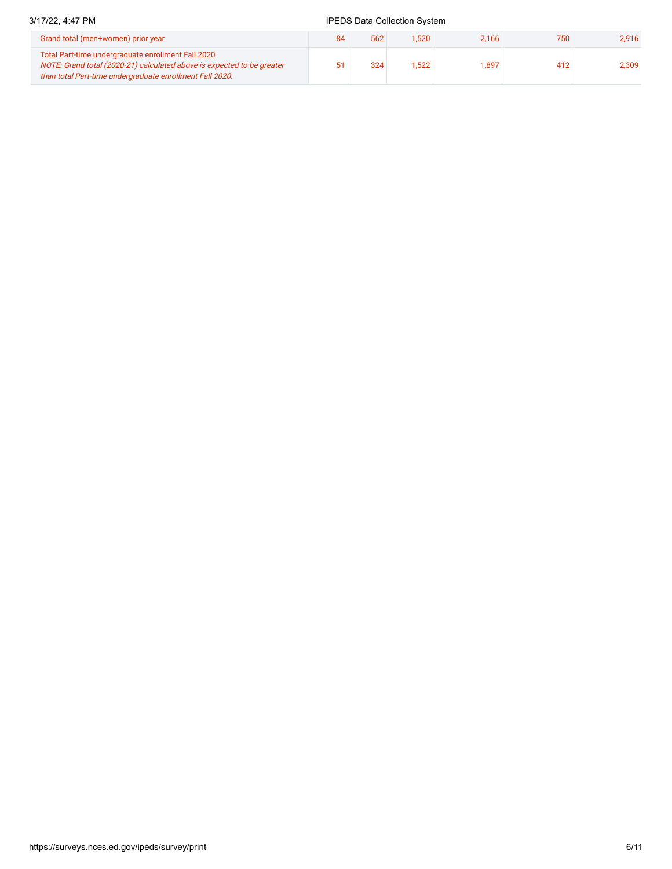# 3/17/22, 4:47 PM **IPEDS** Data Collection System

| Grand total (men+women) prior year                                                                                                                                                       | 84 | 562 | 1,520 | 2.166 | 750 | 2.916 |
|------------------------------------------------------------------------------------------------------------------------------------------------------------------------------------------|----|-----|-------|-------|-----|-------|
| Total Part-time undergraduate enrollment Fall 2020<br>NOTE: Grand total (2020-21) calculated above is expected to be greater<br>than total Part-time undergraduate enrollment Fall 2020. |    | 324 | .522  | 1,897 | 412 | 2.309 |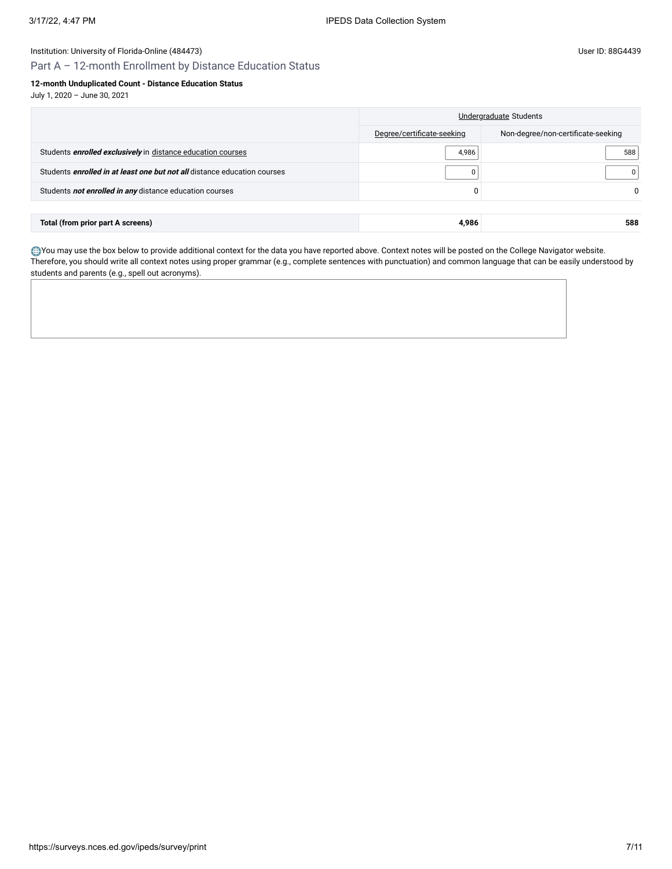# Part A – 12-month Enrollment by Distance Education Status

### **12-month Unduplicated Count - Distance Education Status**

July 1, 2020 – June 30, 2021

|                                                                                 |                            | Undergraduate Students             |
|---------------------------------------------------------------------------------|----------------------------|------------------------------------|
|                                                                                 | Degree/certificate-seeking | Non-degree/non-certificate-seeking |
| Students enrolled exclusively in distance education courses                     | 4,986                      | 588                                |
| Students <i>enrolled in at least one but not all</i> distance education courses | $\Omega$                   |                                    |
| Students not enrolled in any distance education courses                         | 0                          |                                    |
|                                                                                 |                            |                                    |
| Total (from prior part A screens)                                               | 4.986                      | 588                                |

You may use the box below to provide additional context for the data you have reported above. Context notes will be posted on the College Navigator website. Therefore, you should write all context notes using proper grammar (e.g., complete sentences with punctuation) and common language that can be easily understood by students and parents (e.g., spell out acronyms).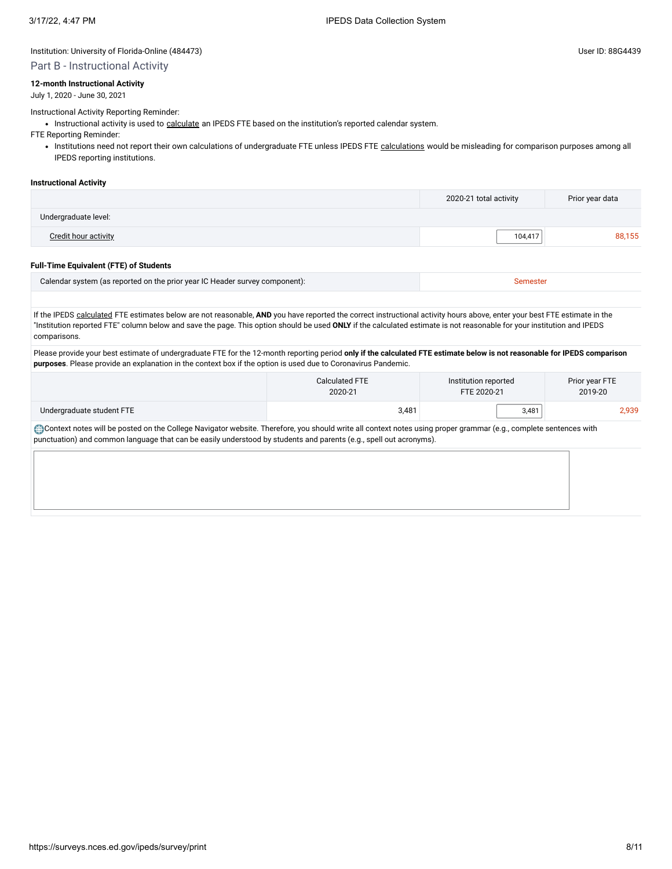#### Part B - Instructional Activity

#### **12-month Instructional Activity**

July 1, 2020 - June 30, 2021

#### Instructional Activity Reporting Reminder:

• Instructional activity is used to [calculate](javascript:openglossary(853)) an IPEDS FTE based on the institution's reported calendar system.

FTE Reporting Reminder:

• Institutions need not report their own [calculations](javascript:openglossary(853)) of undergraduate FTE unless IPEDS FTE calculations would be misleading for comparison purposes among all IPEDS reporting institutions.

#### **Instructional Activity**

|                      | 2020-21 total activity | Prior year data |
|----------------------|------------------------|-----------------|
| Undergraduate level: |                        |                 |
| Credit hour activity | 104.417                | 88.155          |
|                      |                        |                 |

#### **Full-Time Equivalent (FTE) of Students**

| Calendar system (as reported on the prior year IC Header survey component): |  |
|-----------------------------------------------------------------------------|--|
|                                                                             |  |

If the IPEDS [calculated](javascript:openglossary(853)) FTE estimates below are not reasonable, **AND** you have reported the correct instructional activity hours above, enter your best FTE estimate in the "Institution reported FTE" column below and save the page. This option should be used **ONLY** if the calculated estimate is not reasonable for your institution and IPEDS comparisons.

Please provide your best estimate of undergraduate FTE for the 12-month reporting period **only if the calculated FTE estimate below is not reasonable for IPEDS comparison purposes**. Please provide an explanation in the context box if the option is used due to Coronavirus Pandemic.

|                           | Calculated FTE | Institution reported | Prior year FTE |  |
|---------------------------|----------------|----------------------|----------------|--|
|                           | 2020-21        | FTE 2020-21          | 2019-20        |  |
| Undergraduate student FTE | 3,481          | 3,481                | 2,939          |  |

Context notes will be posted on the College Navigator website. Therefore, you should write all context notes using proper grammar (e.g., complete sentences with punctuation) and common language that can be easily understood by students and parents (e.g., spell out acronyms).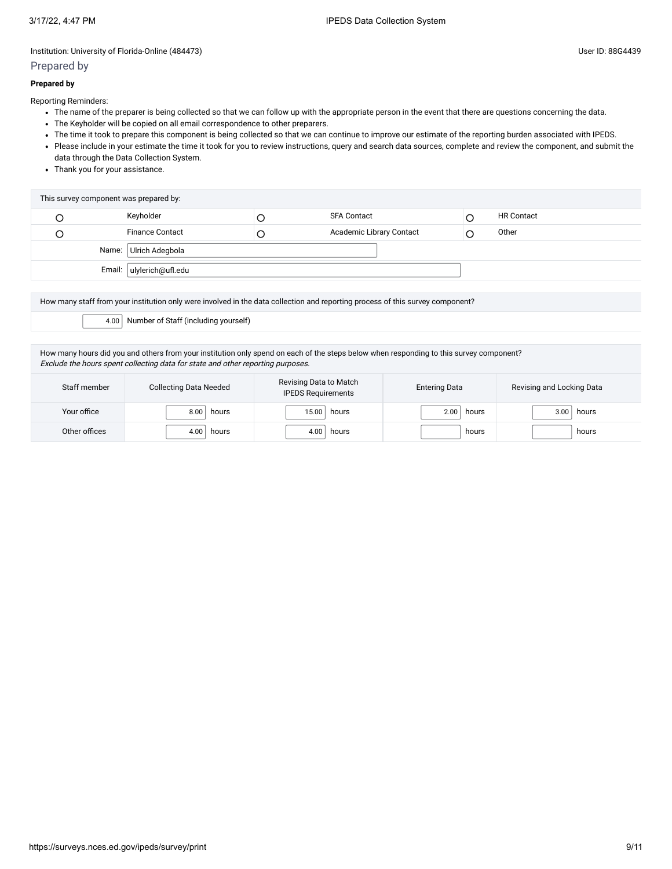### Prepared by

Reporting Reminders:

- The name of the preparer is being collected so that we can follow up with the appropriate person in the event that there are questions concerning the data.
- The Keyholder will be copied on all email correspondence to other preparers.
- The time it took to prepare this component is being collected so that we can continue to improve our estimate of the reporting burden associated with IPEDS.
- Please include in your estimate the time it took for you to review instructions, query and search data sources, complete and review the component, and submit the data through the Data Collection System.
- Thank you for your assistance.

| This survey component was prepared by: |                          |   |                          |  |                   |  |  |
|----------------------------------------|--------------------------|---|--------------------------|--|-------------------|--|--|
|                                        | Keyholder                |   | <b>SFA Contact</b>       |  | <b>HR Contact</b> |  |  |
|                                        | <b>Finance Contact</b>   | Ć | Academic Library Contact |  | Other             |  |  |
|                                        | Name: Ulrich Adegbola    |   |                          |  |                   |  |  |
|                                        | Email: ulylerich@ufl.edu |   |                          |  |                   |  |  |

How many staff from your institution only were involved in the data collection and reporting process of this survey component? 4.00 Number of Staff (including yourself)

How many hours did you and others from your institution only spend on each of the steps below when responding to this survey component? Exclude the hours spent collecting data for state and other reporting purposes.

| Staff member  | <b>Collecting Data Needed</b> | Revising Data to Match<br><b>IPEDS Requirements</b> | <b>Entering Data</b> | Revising and Locking Data |
|---------------|-------------------------------|-----------------------------------------------------|----------------------|---------------------------|
| Your office   | 8.00<br>hours                 | 15.00<br>hours                                      | hours<br>2.00        | hours<br>3.00             |
| Other offices | 4.00<br>hours                 | 4.00<br>hours                                       | hours                | hours                     |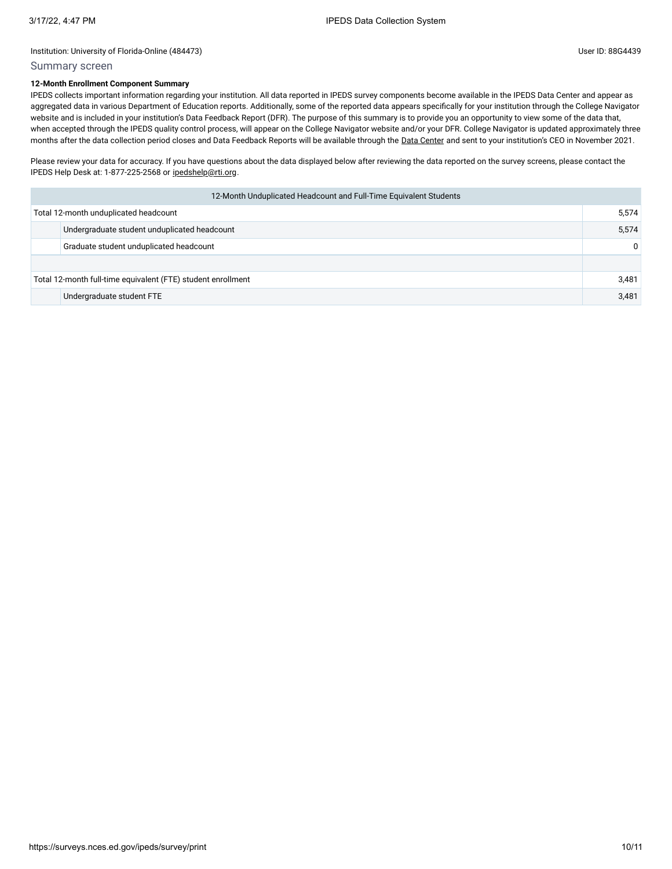# Summary screen

## **12-Month Enrollment Component Summary**

IPEDS collects important information regarding your institution. All data reported in IPEDS survey components become available in the IPEDS Data Center and appear as aggregated data in various Department of Education reports. Additionally, some of the reported data appears specifically for your institution through the College Navigator website and is included in your institution's Data Feedback Report (DFR). The purpose of this summary is to provide you an opportunity to view some of the data that, when accepted through the IPEDS quality control process, will appear on the College Navigator website and/or your DFR. College Navigator is updated approximately three months after the data collection period closes and Data Feedback Reports will be available through the Data [Center](https://nces.ed.gov/ipeds/use-the-data) and sent to your institution's CEO in November 2021.

Please review your data for accuracy. If you have questions about the data displayed below after reviewing the data reported on the survey screens, please contact the IPEDS Help Desk at: 1-877-225-2568 or [ipedshelp@rti.org.](mailto:ipedshelp@rti.org)

| 12-Month Unduplicated Headcount and Full-Time Equivalent Students |                                              |          |
|-------------------------------------------------------------------|----------------------------------------------|----------|
| Total 12-month unduplicated headcount                             |                                              | 5,574    |
|                                                                   | Undergraduate student unduplicated headcount | 5,574    |
|                                                                   | Graduate student unduplicated headcount      | $\Omega$ |
|                                                                   |                                              |          |
| Total 12-month full-time equivalent (FTE) student enrollment      |                                              | 3,481    |
|                                                                   | Undergraduate student FTE                    | 3,481    |